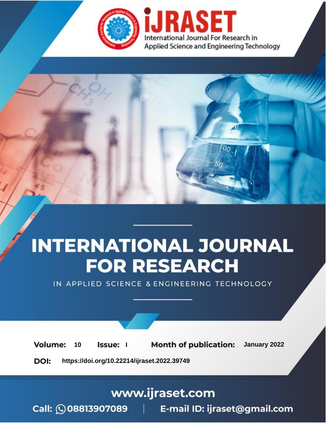

# **INTERNATIONAL JOURNAL FOR RESEARCH**

IN APPLIED SCIENCE & ENGINEERING TECHNOLOGY

**Month of publication:** January 2022 **Volume:** 10 **Issue:** I

DOI: https://doi.org/10.22214/ijraset.2022.39749

www.ijraset.com

Call: 008813907089 | E-mail ID: ijraset@gmail.com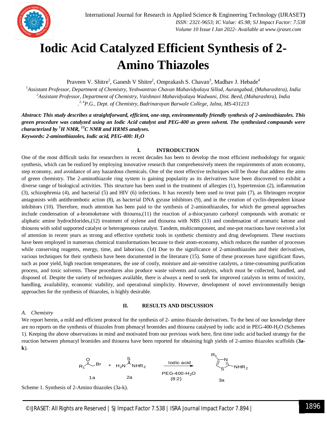

### **Iodic Acid Catalyzed Efficient Synthesis of 2- Amino Thiazoles**

Praveen V. Shitre<sup>1</sup>, Ganesh V Shitre<sup>2</sup>, Omprakash S. Chavan<sup>3</sup>, Madhav J. Hebade<sup>4</sup>

*<sup>1</sup>Assistant Professor, Department of Chemistry, Yeshwantrao Chavan Mahavidyalaya Sillod, Aurangabad, (Maharashtra), India <sup>2</sup>Assistant Professor, Department of Chemistry, Vaishnavi Mahavidyalaya Wadwani, Dist. Beed, (Maharashtra), India . 3, 4P.G., Dept. of Chemistry, Badrinarayan Barwale College, Jalna, MS-431213*

*Abstract: This study describes a straightforward, efficient, one-step, environmentally friendly synthesis of 2-aminothiazoles. This green procedure was catalyzed using an Iodic Acid catalyst and PEG-400 as green solvent. The synthesized compounds were characterized by <sup>1</sup>H NMR, <sup>13</sup>C NMR and HRMS analyses. Keywords: 2-aminothiazoles, Iodic acid, PEG-400: H2O*

#### **I. INTRODUCTION**

One of the most difficult tasks for researchers in recent decades has been to develop the most efficient methodology for organic synthesis, which can be realized by employing innovative research that comprehensively meets the requirements of atom economy, step economy, and avoidance of any hazardous chemicals. One of the most effective techniques will be those that address the aims of green chemistry. The 2-aminothiazole ring system is gaining popularity as its derivatives have been discovered to exhibit a diverse range of biological activities. This structure has been used in the treatment of allergies (1), hypertension (2), inflammation (3), schizophrenia (4), and bacterial (5) and HIV (6) infections. It has recently been used to treat pain (7), as fibrinogen receptor antagonists with antithrombotic action (8), as bacterial DNA gyrase inhibitors (9), and in the creation of cyclin-dependent kinase inhibitors (10). Therefore, much attention has been paid to the synthesis of 2-aminothiazoles, for which the general approaches include condensation of a-bromoketone with thiourea,(11) the reaction of a-thiocyanato carbonyl compounds with aromatic or aliphatic amine hydrochlorides,(12) treatment of stylene and thiourea with NBS (13) and condensation of aromatic ketone and thiourea with solid supported catalyst or heterogeneous catalyst. Tandem, multicomponent, and one-pot reactions have received a lot of attention in recent years as strong and effective synthetic tools in synthetic chemistry and drug development. These reactions have been employed in numerous chemical transformations because to their atom-economy, which reduces the number of processes while conserving reagents, energy, time, and laborious. (14) Due to the significance of 2-aminothiazoles and their derivatives, various techniques for their synthesis have been documented in the literature (15). Some of these processes have significant flaws, such as poor yield, high reaction temperatures, the use of costly, moisture and air-sensitive catalysts, a time-consuming purification process, and toxic solvents. These procedures also produce waste solvents and catalysts, which must be collected, handled, and disposed of. Despite the variety of techniques available, there is always a need to seek for improved catalysts in terms of toxicity, handling, availability, economic viability, and operational simplicity. However, development of novel environmentally benign approaches for the synthesis of thiazoles, is highly desirable.

#### *A. Chemistry*

#### **II. RESULTS AND DISCUSSION**

We report herein, a mild and efficient protocol for the synthesis of 2- amino thiazole derivatives. To the best of our knowledge there are no reports on the synthesis of thiazoles from phenacyl bromides and thiourea catalysed by iodic acid in PEG-400-H<sub>2</sub>O (Schemes 1). Keeping the above observations in mind and motivated from our previous work here, first time iodic acid backed strategy for the reaction between phenacyl bromides and thiourea have been reported for obtaining high yields of 2-amino thiazoles scaffolds (**3ak**).



Scheme 1. Synthesis of 2-Amino thiazoles (3a-k).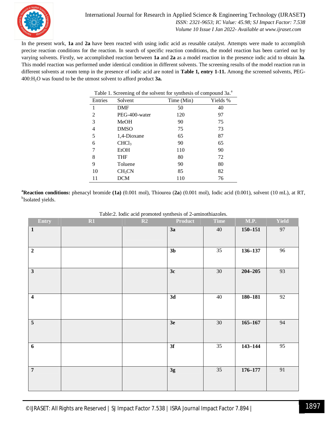

In the present work, **1a** and **2a** have been reacted with using iodic acid as reusable catalyst. Attempts were made to accomplish precise reaction conditions for the reaction. In search of specific reaction conditions, the model reaction has been carried out by varying solvents. Firstly, we accomplished reaction between **1a** and **2a** as a model reaction in the presence iodic acid to obtain **3a**. This model reaction was performed under identical condition in different solvents. The screening results of the model reaction run in different solvents at room temp in the presence of iodic acid are noted in **Table 1, entry 1-11.** Among the screened solvents, PEG-400:H2O was found to be the utmost solvent to afford product **3a.**

| Table 1. Screening of the solvent for synthesis of compound 3a. <sup>a</sup> |                    |            |          |  |  |  |
|------------------------------------------------------------------------------|--------------------|------------|----------|--|--|--|
| Entries                                                                      | Solvent            | Time (Min) | Yields % |  |  |  |
| 1                                                                            | <b>DMF</b>         | 50         | 40       |  |  |  |
| 2                                                                            | PEG-400-water      | 120        | 97       |  |  |  |
| 3                                                                            | MeOH               | 90         | 75       |  |  |  |
| 4                                                                            | <b>DMSO</b>        | 75         | 73       |  |  |  |
| 5                                                                            | 1,4-Dioxane        | 65         | 87       |  |  |  |
| 6                                                                            | CHCl <sub>3</sub>  | 90         | 65       |  |  |  |
|                                                                              | EtOH               | 110        | 90       |  |  |  |
| 8                                                                            | <b>THF</b>         | 80         | 72       |  |  |  |
| 9                                                                            | Toluene            | 90         | 80       |  |  |  |
| 10                                                                           | CH <sub>3</sub> CN | 85         | 82       |  |  |  |
| 11                                                                           | <b>DCM</b>         | 110        | 76       |  |  |  |

**<sup>a</sup>Reaction conditions:** phenacyl bromide **(1a)** (0.001 mol), Thiourea (**2a**) (0.001 mol), Iodic acid (0.001), solvent (10 mL), at RT, <sup>b</sup>Isolated yields.

| <b>Entry</b>            | R1 | racicia: Toure acre promoteu symmesis of a animotinazores.<br>R2 | Product        | Time            | <b>M.P.</b> | <b>Yield</b>    |
|-------------------------|----|------------------------------------------------------------------|----------------|-----------------|-------------|-----------------|
| $\mathbf{1}$            |    |                                                                  | 3a             | 40              | $150 - 151$ | 97              |
|                         |    |                                                                  |                |                 |             |                 |
| $\overline{2}$          |    |                                                                  | 3 <sub>b</sub> | 35              | $136 - 137$ | 96              |
| $\mathbf{3}$            |    |                                                                  | 3c             | 30 <sup>7</sup> | $204 - 205$ | 93              |
| $\overline{\mathbf{4}}$ |    |                                                                  | 3d             | 40              | $180 - 181$ | 92              |
| $\overline{\mathbf{5}}$ |    |                                                                  | 3e             | 30 <sup>2</sup> | $165 - 167$ | 94              |
| $\boldsymbol{6}$        |    |                                                                  | 3f             | $\overline{35}$ | $143 - 144$ | $\overline{95}$ |
| $\overline{7}$          |    |                                                                  | 3g             | 35              | $176 - 177$ | 91              |

Table:2. Iodic acid promoted synthesis of 2-aminothiazoles.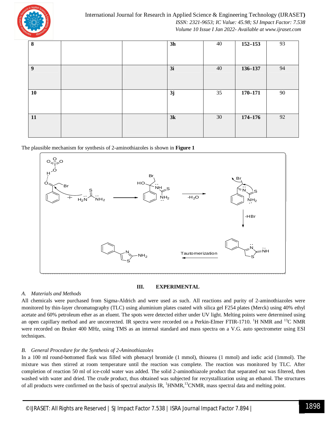

| 8                |  | 3h | 40 | $152 - 153$ | 93 |
|------------------|--|----|----|-------------|----|
|                  |  |    |    |             |    |
|                  |  |    |    |             |    |
| $\boldsymbol{9}$ |  | 3i | 40 | 136-137     | 94 |
|                  |  |    |    |             |    |
|                  |  |    |    |             |    |
| 10               |  | 3j | 35 | $170 - 171$ | 90 |
|                  |  |    |    |             |    |
|                  |  |    |    |             |    |
| 11               |  | 3k | 30 | $174 - 176$ | 92 |
|                  |  |    |    |             |    |
|                  |  |    |    |             |    |

The plausible mechanism for synthesis of 2-aminothiazoles is shown in **Figure 1**



#### **III. EXPERIMENTAL**

#### *A. Materials and Methods*

All chemicals were purchased from Sigma-Aldrich and were used as such. All reactions and purity of 2-aminothiazoles were monitored by thin-layer chromatography (TLC) using aluminium plates coated with silica gel F254 plates (Merck) using 40% ethyl acetate and 60% petroleum ether as an eluent. The spots were detected either under UV light. Melting points were determined using an open capillary method and are uncorrected. IR spectra were recorded on a Perkin-Elmer FTIR-1710. <sup>1</sup>H NMR and <sup>13</sup>C NMR were recorded on Bruker 400 MHz, using TMS as an internal standard and mass spectra on a V.G. auto spectrometer using ESI techniques.

#### *B. General Procedure for the Synthesis of 2-Aminothiazoles*

In a 100 ml round-bottomed flask was filled with phenacyl bromide (1 mmol), thiourea (1 mmol) and iodic acid (1mmol). The mixture was then stirred at room temperature until the reaction was complete. The reaction was monitored by TLC. After completion of reaction 50 ml of ice-cold water was added. The solid 2-aminothiazole product that separated out was filtered, then washed with water and dried. The crude product, thus obtained was subjected for recrystallization using an ethanol. The structures of all products were confirmed on the basis of spectral analysis IR,  ${}^{1}$ HNMR,<sup>13</sup>CNMR, mass spectral data and melting point.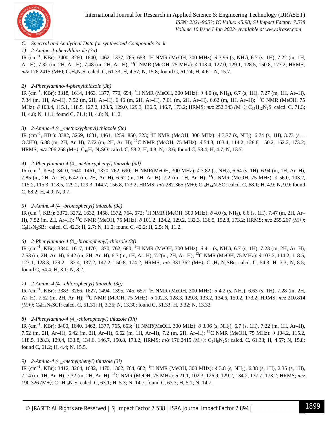

#### *C. Spectral and Analytical Data for synthesized Compounds 3a–k*

#### *1) 2-Amino-4-phenylthiazole (3a)*

IR (cm<sup>−1</sup>, KBr): 3400, 3260, 1640, 1462, 1377, 765, 653; <sup>1</sup>H NMR (MeOH, 300 MHz): δ 3.96 (s, NH<sub>2</sub>), 6.7 (s, 1H), 7.22 (m, 1H, Ar–H), 7.32 (m, 2H, Ar–H), 7.48 (m, 2H, Ar–H); <sup>13</sup>C NMR (MeOH, 75 MHz): *δ* 103.4, 127.0, 129.1, 128.5, 150.8, 173.2; HRMS; *m/z* 176.2415 *(M+)*; C<sub>9</sub>H<sub>8</sub>N<sub>2</sub>S: calcd. C, 61.33; H, 4.57; N, 15.8; found C, 61.24; H, 4.61; N, 15.7.

#### *2) 2-Phenylamino-4-phenylthiazole (3b)*

IR (cm<sup>-1</sup>, KBr): 3318, 1614, 1463, 1377, 770, 694; <sup>1</sup>H NMR (MeOH, 300 MHz): δ 4.0 (s, NH<sub>2</sub>), 6.7 (s, 1H), 7.27 (m, 1H, Ar–H), 7.34 (m, 1H, Ar–H), 7.52 (m, 2H, Ar–H), 6.46 (m, 2H, Ar–H), 7.01 (m, 2H, Ar–H), 6.62 (m, 1H, Ar–H); <sup>13</sup>C NMR (MeOH, 75 MHz): δ 103.4, 115.1, 118.5, 127.2, 128.5, 129.0, 129.3, 136.5, 146.7, 173.2; HRMS;  $m/z$  252.343 *(M+)*; C<sub>15</sub>H<sub>12</sub>N<sub>2</sub>S: calcd. C, 71.3; H, 4.8; N, 11.1; found C, 71.1; H, 4.8; N, 11.2.

#### *3) 2-Amino-4 (*4\_*-methoxyphenyl) thiazole (3c)*

IR (cm<sup>−</sup><sup>1</sup> , KBr): 3382, 3269, 1631, 1461, 1259, 850, 723; <sup>1</sup>H NMR (MeOH, 300 MHz): *δ* 3.77 (s, NH2), 6.74 (s, 1H), 3.73 (s, – OCH3), 6.88 (m, 2H, Ar–H), 7.72 (m, 2H, Ar–H); <sup>13</sup>C NMR (MeOH, 75 MHz): *δ* 54.3, 103.4, 114.2, 128.8, 150.2, 162.2, 173.2; HRMS;  $m/z$  206.268 (M+); C<sub>10</sub>H<sub>10</sub>N<sub>2</sub>SO: calcd. C, 58.2; H, 4.8; N, 13.6; found C, 58.4; H, 4.7; N, 13.7.

#### *4) 2-Phenylamino-4 (*4\_*-methoxyphenyl) thiazole (3d)*

IR (cm<sup>−</sup><sup>1</sup> , KBr): 3410, 1640, 1461, 1370, 762, 690; <sup>1</sup>H NMR(MeOH, 300 MHz): *δ* 3.82 (s, NH2), 6.64 (s, 1H), 6.94 (m, 1H, Ar–H), 7.85 (m, 2H, Ar–H), 6.42 (m, 2H, Ar–H), 6.62 (m, 1H, Ar–H), 7.2 (m, 1H, Ar–H); <sup>13</sup>C NMR (MeOH, 75 MHz): *δ* 56.0, 103.2, 115.2, 115.3, 118.5, 129.2, 129.3, 144.7, 156.8, 173.2; HRMS;  $m/z$  282.365 *(M+)*; C<sub>16</sub>H<sub>14</sub>N<sub>2</sub>SO: calcd. C, 68.1; H, 4.9; N, 9.9; found C, 68.2; H, 4.9; N, 9.7.

#### *5) 2-Amino-4 (*4\_*-bromophenyl) thiazole (3e)*

IR (cm<sup>−</sup><sup>1</sup> , KBr): 3372, 3272, 1632, 1458, 1372, 764, 672; <sup>1</sup>H NMR (MeOH, 300 MHz): *δ* 4.0 (s, NH2), 6.6 (s, 1H), 7.47 (m, 2H, Ar– H), 7.52 (m, 2H, Ar–H); <sup>13</sup>C NMR (MeOH, 75 MHz): *δ* 101.2, 124.2, 129.2, 132.3, 136.5, 152.8, 173.2; HRMS; *m/z* 255.267 *(*M+*)*; C9H7N2SBr: calcd. C, 42.3; H, 2.7; N, 11.0; found C, 42.2; H, 2.5; N, 11.2.

#### *6) 2-Phenylamino-4 (*4\_*-bromophenyl)-thiazole (3f)*

IR (cm<sup>−1</sup>, KBr): 3340, 1617, 1470, 1370, 762, 680; <sup>1</sup>H NMR (MeOH, 300 MHz): δ 4.1 (s, NH<sub>2</sub>), 6.7 (s, 1H), 7.23 (m, 2H, Ar–H), 7.53 (m, 2H, Ar–H), 6.42 (m, 2H, Ar–H), 6.7 (m, 1H, Ar–H), 7.2(m, 2H, Ar–H); <sup>13</sup>C NMR (MeOH, 75 MHz): *δ* 103.2, 114.2, 118.5, 123.1, 128.3, 129.2, 132.4, 137.2, 147.2, 150.8, 174.2; HRMS; *m/z* 331.362 *(*M+*)*; C15H11N2SBr: calcd. C, 54.3; H, 3.3; N, 8.5; found C, 54.4; H, 3.1; N, 8.2.

#### *7) 2-Amino-4 (*4\_*-chlorophenyl) thiazole (3g)*

IR (cm<sup>−</sup><sup>1</sup> , KBr): 3383, 3266, 1627, 1494, 1395, 745, 657; <sup>1</sup>H NMR (MeOH, 300 MHz): *δ* 4.2 (s, NH2), 6.63 (s, 1H), 7.28 (m, 2H, Ar–H), 7.52 (m, 2H, Ar–H); <sup>13</sup>C NMR (MeOH, 75 MHz): *δ* 102.3, 128.3, 129.8, 133.2, 134.6, 150.2, 173.2; HRMS; *m/z* 210.814 *(*M+*)*; C9H7N2SCI: calcd. C, 51.31; H, 3.35; N, 13.30; found C, 51.33; H, 3.32; N, 13.32.

#### *8) 2-Phenylamino-4 (*4\_*-chlorophenyl) thiazole (3h)*

IR (cm<sup>−1</sup>, KBr): 3400, 1640, 1462, 1377, 765, 653; <sup>1</sup>H NMR(MeOH, 300 MHz): δ 3.96 (s, NH<sub>2</sub>), 6.7 (s, 1H), 7.22 (m, 1H, Ar–H), 7.52 (m, 2H, Ar–H), 6.42 (m, 2H, Ar–H), 6.62 (m, 1H, Ar–H), 7.2 (m, 2H, Ar–H); <sup>13</sup>C NMR (MeOH, 75 MHz): *δ* 104.2, 115.2, 118.5, 128.3, 129.4, 133.8, 134.6, 146.7, 150.8, 173.2; HRMS; *m/z* 176.2415 *(*M+*)*; C9H8N2S: calcd. C, 61.33; H, 4.57; N, 15.8; found C, 61.2; H, 4.4; N, 15.5.

#### *9) 2-Amino-4 (*4\_*-methylphenyl) thiazole (3i)*

IR (cm<sup>−1</sup>, KBr): 3412, 3264, 1632, 1470, 1362, 764, 682; <sup>1</sup>H NMR (MeOH, 300 MHz): δ 3.8 (s, NH<sub>2</sub>), 6.38 (s, 1H), 2.35 (s, 1H), 7.14 (m, 1H, Ar–H), 7.32 (m, 2H, Ar–H); <sup>13</sup>C NMR (MeOH, 75 MHz): *δ* 21.1, 102.3, 126.9, 129.2, 134.2, 137.7, 173.2; HRMS; *m/z*  190.326 (M+); C<sub>10</sub>H<sub>10</sub>N<sub>2</sub>S: calcd. C, 63.1; H, 5.3; N, 14.7; found C, 63.3; H, 5.1; N, 14.7.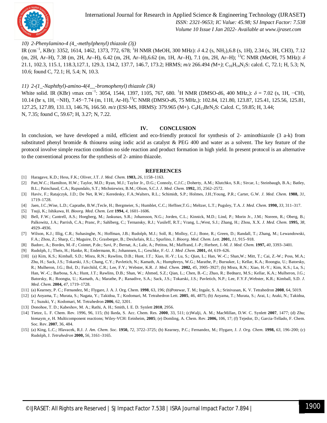

#### *10) 2-Phenylamino-4 (*4\_*-methylphenyl) thiazole (3j)*

IR (cm<sup>−</sup><sup>1</sup> , KBr): 3352, 1614, 1462, 1373, 772, 678; <sup>1</sup>H NMR (MeOH, 300 MHz): *δ* 4.2 (s, NH2),6.8 (s, 1H), 2.34 (s, 3H, CH3), 7.12 (m, 2H, Ar–H), 7.38 (m, 2H, Ar–H), 6.42 (m, 2H, Ar–H),6.62 (m, 1H, Ar–H), 7.1 (m, 2H, Ar–H); <sup>13</sup>C NMR (MeOH, 75 MHz): *δ*  21.1, 102.3, 115.1, 118.3, 127.1, 129.3, 134.2, 137.7, 146.7, 173.2; HRMS;  $m/z$  266.494 *(M+)*; C<sub>16</sub>H<sub>14</sub>N<sub>2</sub>S: calcd. C, 72.1; H, 5.3; N, 10.6; found C, 72.1; H, 5.4; N, 10.3.

#### *11) 2-(1*\_*-Naphthyl)-amino-4(4*\_\_*-bromophenyl) thiazole (3k)*

White solid. IR (KBr) *ν*max cm<sup>−</sup><sup>1</sup> : 3054, 1544, 1397, 1105, 767, 680. <sup>1</sup>H NMR (DMSO-d6, 400 MHz,): *δ* = 7*.*02 (s, 1H, −CH), 10.14 (br s, 1H, −NH), 7.45−7.74 (m, 11H, Ar-H).<sup>13</sup>C NMR (DMSO-*d*6, 75 MHz,): 102.84, 121.80, 123.87, 125.41, 125.56, 125.81, 127.25, 127.89, 131.13, 146.76, 166.50. *m/z* (ESI-MS, HRMS): 379.965 (M+). C9H13BrN2S: Calcd. C, 59.85; H, 3.44; N, 7.35; found C, 59.67; H, 3.27; N, 7.22.

#### **IV. CONCLUSION**

In conclusion, we have developed a mild, efficient and eco-friendly protocol for synthesis of 2- aminothiazole (3 a-k) from substituted phenyl bromide & thiourea using iodic acid as catalyst & PEG 400 and water as a solvent. The key feature of the protocol involve simple reaction condition no side reaction and product formation in high yield. In present protocol is an alternative to the conventional process for the synthesis of 2- amino thiazole.

#### **REFERENCES**

- [1] Haragave, K.D.; Hess, F.K.; Oliver, J.T. *J. Med. Chem.* **1983,** *26,* 1158–1163.
- [2] Patt,W.C.; Hamilton, H.W.; Taylor, M.D.; Ryan, M.J.; Taylor Jr., D.G.; Connoly, C.J.C.; Doherty, A.M.; Klutchko, S.R.; Sircar, I.; Steinbaugh, B.A.; Batley, B.L.; Painchaud, C.A.; Rapundalo, S.T.; Michniewiez, B.M.; Olson, S.C.J. *J. Med. Chem.* **1992,** *35,* 2562–2572.
- [3] Haviv, F.; Ratajczyk, J.D.; De Net, R.W.; Keredesky, F.A.;Walters, R.L.; Schimidt, S.P.; Holmes, J.H.;Young, P.R.; Carter, G.W. *J. Med. Chem.* **1988,** *31,*  1719–1728.
- [4] Jaen, J.C.;Wise, L.D.; Caprathe, B.W.;Tecle, H.; Bergmeier, S.; Humblet, C.C.; Heffner,T.G.; Meltzer, L.T.; Pugsley, T.A. *J. Med. Chem.* **1990,** *33,* 311–317.
- [5] Tsuji, K.; Ishikawa, H. *Bioorg. Med. Chem. Lett* **1994,** *4,* 1601–1606.
- [6] Bell, F.W.; Cantrell, A.S.; Hoegberg, M.; Jaskunas, S.R.; Johansson, N.G.; Jorden, C.L.; Kinnick, M.D.; Lind, P.; Morin Jr., J.M.; Noreen, R.; Oberg, B.; Palkowitz, J.A.; Parrish, C.A.; Pranc, P.; Sahlberg, C.; Ternansky, R.J.; Vasileff, R.T.; Vrang, L.;West, S.J.; Zhang, H.; Zhou, X.X. *J. Med. Chem.* **1995,** *38,*  4929–4936.
- [7] Wilson, K.J.; Illig, C.R.; Subasinghe, N.; Hoffman, J.B.; Rudolph, M.J.; Soll, R.; Molloy, C.J.; Bone, R.; Green, D.; Randall, T.; Zhang, M.; Lewandowski, F.A.; Zhou, Z.; Sharp, C.; Maguire, D.; Grasberger, B.; DesJarlais, R.L.; Spurlino, J. *Bioorg. Med. Chem. Lett.* **2001,** *11,* 915–918.
- [8] Badorc, A.; Bordes, M.-F.; Cointet, P.de.; Savi, P.; Bernat, A.; Lale, A.; Petitou, M.; Maffrand, J.-P.; Herbert, J.-M. *J. Med. Chem.* **1997,** *40,* 3393–3401.
- [9] Rudolph, J.; Theis, H.; Hanke, R.; Endermann, R.; Johannsen, L.; Geschke, F.-U. *J. Med .Chem*. **2001,** *44,* 619–626.
- [10] (a) Kim, K.S.; Kimball, S.D.; Misra, R.N.; Rawlins, D.B.; Hunt, J.T.; Xiao, H.-Y.; Lu, S.; Qian, L.; Han, W.-C.; Shan,W.; Mitt, T.; Cai, Z.-W.; Poss, M.A.; Zhu, H.; Sack, J.S.; Tokarski, J.S.; Chang, C.Y.; Pavletich, N.; Kamath, A.; Humphreys, W.G.; Marathe, P.; Bursuker, I.; Kellar, K.A.; Roongta, U.; Batorsky, R.; Mulheron, J.G.; Bol, D.; Fairchild, C.R.; Lee, F.Y.; Webster, K.R. *J. Med. Chem.* **2002,** *45,* 3905–3927; (b) Misra, R.N.; Xiao, H.-Y.; Kim, K.S.; Lu, S.; Han, W.-C.; Barbosa, S.A.; Hunt, J.T.; Rawlins, D.B.; Shan, W.; Ahmed, S.Z.; Qian, L.; Chen, B.-C.; Zhao, R.; Bednarz, M.S.; Kellar, K.A.; Mulheron, J.G.; Batorsky, R.; Roongta, U.; Kamath, A.; Marathe, P.; Ranadive, S.A.; Sack, J.S.; Tokarski, J.S.; Pavletich, N.P.; Lee, F.Y.F.;Webster, K.R.; Kimball, S.D. *J. Med. Chem.* **2004,** *47,* 1719–1728.
- [11] (a) Kearney, P. C.; Fernandez, M.; Flygare, J. A. J. Org. Chem. **1998**, 63, 196; (b)Potewar, T. M.; Ingale, S. A.; Srinivasan, K. V. Tetrahedron **2008**, 64, 5019.
- [12] (a) Aoyama, T.; Murata, S.; Nagata, Y.; Takidoa, T.; Kodomari, M. Tetrahedron Lett. **2005**, 46, 4875; (b) Aoyama, T.; Murata, S.; Arai, I.; Araki, N.; Takidoa, T.; Suzuki, Y.; Kodomari, M. Tetrahedron **2006**, 62, 3201.
- [13] Donohoe, T. D.; Kabeshov, M. A.; Rathi, A. H.; Smith, I. E. D. Synlett **2010**, 2956.
- [14] Tietze, L. F. Chem. Rev. 1996, 96, 115; (b) Ikeda, S. Acc. Chem. Res. **2000**, 33, 511; (c)Walji, A. M.; MacMillan, D.W. C. Synlett **2007**, 1477; (d) Zhu; bienaym\_e, H. Multicomponent reactions; Wiley-VCH: Eeinheim, **2005**; (e) Domling, A. Chem. Rev. **2006,** 106, 17; (f) Tejedor, D.; Garcia-Tellado, F. Chem. Soc. Rev. **2007**, 36, 484.
- [15] (a) King, L.C.; Hlavacek, R.J. *J. Am. Chem. Soc*. **1950,** *72,* 3722–3725; (b) Kearney, P.C.; Fernandez*,* M.; Flygare, J. *J. Org. Chem.* **1998,** *63,* 196–200; (c) Rudolph, J. *Tetrahedron* **2000,** *56,* 3161–3165.